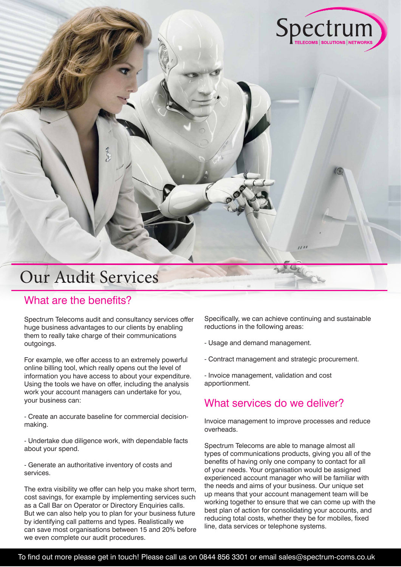# Our Audit Services

## What are the benefits?

Spectrum Telecoms audit and consultancy services offer huge business advantages to our clients by enabling them to really take charge of their communications outgoings.

For example, we offer access to an extremely powerful online billing tool, which really opens out the level of information you have access to about your expenditure. Using the tools we have on offer, including the analysis work your account managers can undertake for you, your business can:

- Create an accurate baseline for commercial decisionmaking.

- Undertake due diligence work, with dependable facts about your spend.

- Generate an authoritative inventory of costs and services.

The extra visibility we offer can help you make short term, cost savings, for example by implementing services such as a Call Bar on Operator or Directory Enquiries calls. But we can also help you to plan for your business future by identifying call patterns and types. Realistically we can save most organisations between 15 and 20% before we even complete our audit procedures.

Specifically, we can achieve continuing and sustainable reductions in the following areas:

Spectrum

- Usage and demand management.
- Contract management and strategic procurement.

- Invoice management, validation and cost apportionment.

# What services do we deliver?

Invoice management to improve processes and reduce overheads.

Spectrum Telecoms are able to manage almost all types of communications products, giving you all of the benefits of having only one company to contact for all of your needs. Your organisation would be assigned experienced account manager who will be familiar with the needs and aims of your business. Our unique set up means that your account management team will be working together to ensure that we can come up with the best plan of action for consolidating your accounts, and reducing total costs, whether they be for mobiles, fixed line, data services or telephone systems.